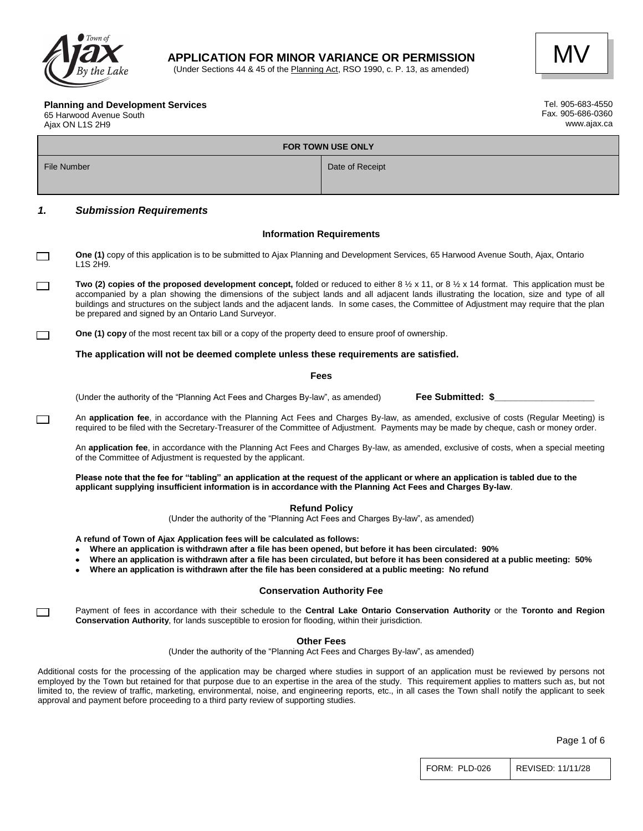

### **APPLICATION FOR MINOR VARIANCE OR PERMISSION**

(Under Sections 44 & 45 of the Planning Act, RSO 1990, c. P. 13, as amended)



#### **Planning and Development Services**

65 Harwood Avenue South Ajax ON L1S 2H9

 $\Box$ 

| Tel. 905-683-4550 |
|-------------------|
| Fax. 905-686-0360 |
| www.ajax.ca       |

| <b>FOR TOWN USE ONLY</b> |                                                                                                                                                                                                                                                                                                                                                                                                                                                                                                                 |                                                                                                                                                                                                                                                                                |  |  |  |
|--------------------------|-----------------------------------------------------------------------------------------------------------------------------------------------------------------------------------------------------------------------------------------------------------------------------------------------------------------------------------------------------------------------------------------------------------------------------------------------------------------------------------------------------------------|--------------------------------------------------------------------------------------------------------------------------------------------------------------------------------------------------------------------------------------------------------------------------------|--|--|--|
|                          | File Number<br>Date of Receipt                                                                                                                                                                                                                                                                                                                                                                                                                                                                                  |                                                                                                                                                                                                                                                                                |  |  |  |
|                          |                                                                                                                                                                                                                                                                                                                                                                                                                                                                                                                 |                                                                                                                                                                                                                                                                                |  |  |  |
| 1.                       | <b>Submission Requirements</b>                                                                                                                                                                                                                                                                                                                                                                                                                                                                                  |                                                                                                                                                                                                                                                                                |  |  |  |
|                          |                                                                                                                                                                                                                                                                                                                                                                                                                                                                                                                 | <b>Information Requirements</b>                                                                                                                                                                                                                                                |  |  |  |
| $\Box$                   | One (1) copy of this application is to be submitted to Ajax Planning and Development Services, 65 Harwood Avenue South, Ajax, Ontario<br>L1S 2H9.                                                                                                                                                                                                                                                                                                                                                               |                                                                                                                                                                                                                                                                                |  |  |  |
| $\Box$                   | Two (2) copies of the proposed development concept, folded or reduced to either 8 $\frac{1}{2}$ x 11, or 8 $\frac{1}{2}$ x 14 format. This application must be<br>accompanied by a plan showing the dimensions of the subject lands and all adjacent lands illustrating the location, size and type of all<br>buildings and structures on the subject lands and the adjacent lands. In some cases, the Committee of Adjustment may require that the plan<br>be prepared and signed by an Ontario Land Surveyor. |                                                                                                                                                                                                                                                                                |  |  |  |
|                          | <b>One (1) copy</b> of the most recent tax bill or a copy of the property deed to ensure proof of ownership.                                                                                                                                                                                                                                                                                                                                                                                                    |                                                                                                                                                                                                                                                                                |  |  |  |
|                          | The application will not be deemed complete unless these requirements are satisfied.                                                                                                                                                                                                                                                                                                                                                                                                                            |                                                                                                                                                                                                                                                                                |  |  |  |
| <b>Fees</b>              |                                                                                                                                                                                                                                                                                                                                                                                                                                                                                                                 |                                                                                                                                                                                                                                                                                |  |  |  |
|                          | (Under the authority of the "Planning Act Fees and Charges By-law", as amended)                                                                                                                                                                                                                                                                                                                                                                                                                                 | Fee Submitted: \$                                                                                                                                                                                                                                                              |  |  |  |
|                          |                                                                                                                                                                                                                                                                                                                                                                                                                                                                                                                 | An application fee, in accordance with the Planning Act Fees and Charges By-law, as amended, exclusive of costs (Regular Meeting) is<br>required to be filed with the Secretary-Treasurer of the Committee of Adjustment. Payments may be made by cheque, cash or money order. |  |  |  |

An **application fee**, in accordance with the Planning Act Fees and Charges By-law, as amended, exclusive of costs, when a special meeting of the Committee of Adjustment is requested by the applicant.

**Please note that the fee for "tabling" an application at the request of the applicant or where an application is tabled due to the applicant supplying insufficient information is in accordance with the Planning Act Fees and Charges By-law**.

**Refund Policy**

(Under the authority of the "Planning Act Fees and Charges By-law", as amended)

**A refund of Town of Ajax Application fees will be calculated as follows:**

- **Where an application is withdrawn after a file has been opened, but before it has been circulated: 90%**
- **Where an application is withdrawn after a file has been circulated, but before it has been considered at a public meeting: 50%**
- **Where an application is withdrawn after the file has been considered at a public meeting: No refund**

#### **Conservation Authority Fee**

Payment of fees in accordance with their schedule to the **Central Lake Ontario Conservation Authority** or the **Toronto and Region Conservation Authority**, for lands susceptible to erosion for flooding, within their jurisdiction.

#### **Other Fees**

(Under the authority of the "Planning Act Fees and Charges By-law", as amended)

Additional costs for the processing of the application may be charged where studies in support of an application must be reviewed by persons not employed by the Town but retained for that purpose due to an expertise in the area of the study. This requirement applies to matters such as, but not limited to, the review of traffic, marketing, environmental, noise, and engineering reports, etc., in all cases the Town shall notify the applicant to seek approval and payment before proceeding to a third party review of supporting studies.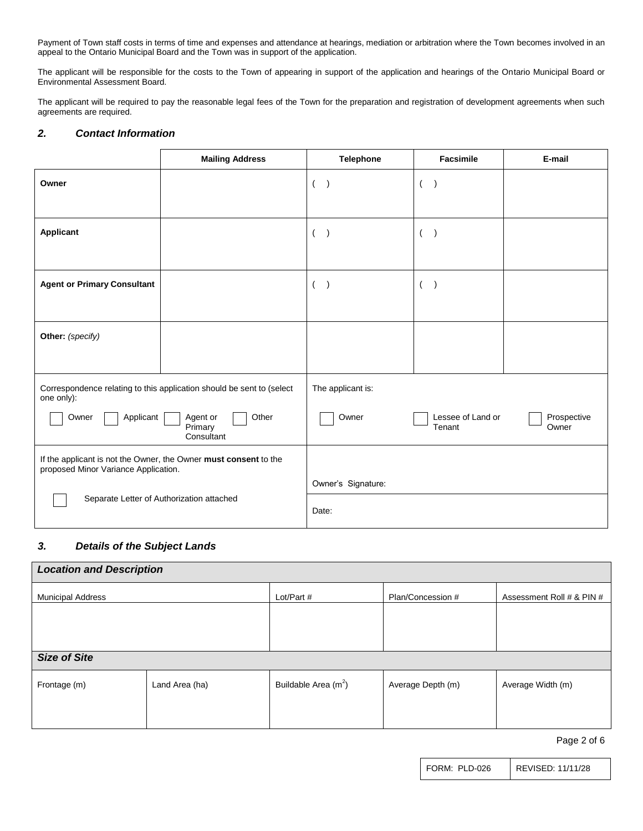Payment of Town staff costs in terms of time and expenses and attendance at hearings, mediation or arbitration where the Town becomes involved in an appeal to the Ontario Municipal Board and the Town was in support of the application.

The applicant will be responsible for the costs to the Town of appearing in support of the application and hearings of the Ontario Municipal Board or Environmental Assessment Board.

The applicant will be required to pay the reasonable legal fees of the Town for the preparation and registration of development agreements when such agreements are required.

### *2. Contact Information*

|                                                                                                                                | <b>Mailing Address</b> | <b>Telephone</b>           | Facsimile                | E-mail      |
|--------------------------------------------------------------------------------------------------------------------------------|------------------------|----------------------------|--------------------------|-------------|
| Owner                                                                                                                          |                        | $($ $)$                    | $\left($                 |             |
| <b>Applicant</b>                                                                                                               |                        | $\overline{(}$             | $\overline{\phantom{a}}$ |             |
| <b>Agent or Primary Consultant</b>                                                                                             |                        | $\overline{ }$             | $\left($                 |             |
| Other: (specify)                                                                                                               |                        |                            |                          |             |
| Correspondence relating to this application should be sent to (select<br>one only):<br>Applicant<br>Other<br>Agent or<br>Owner |                        | The applicant is:<br>Owner | Lessee of Land or        | Prospective |
|                                                                                                                                | Primary<br>Consultant  |                            | Tenant                   | Owner       |
| If the applicant is not the Owner, the Owner must consent to the<br>proposed Minor Variance Application.                       |                        |                            |                          |             |
| Separate Letter of Authorization attached                                                                                      |                        | Owner's Signature:         |                          |             |
|                                                                                                                                |                        | Date:                      |                          |             |

#### *3. Details of the Subject Lands*

| <b>Location and Description</b> |                |                        |                   |                           |  |  |
|---------------------------------|----------------|------------------------|-------------------|---------------------------|--|--|
| <b>Municipal Address</b>        |                | Lot/Part #             | Plan/Concession # | Assessment Roll # & PIN # |  |  |
|                                 |                |                        |                   |                           |  |  |
|                                 |                |                        |                   |                           |  |  |
| <b>Size of Site</b>             |                |                        |                   |                           |  |  |
| Frontage (m)                    | Land Area (ha) | Buildable Area $(m^2)$ | Average Depth (m) | Average Width (m)         |  |  |
|                                 |                |                        |                   |                           |  |  |
|                                 |                |                        |                   |                           |  |  |

Page 2 of 6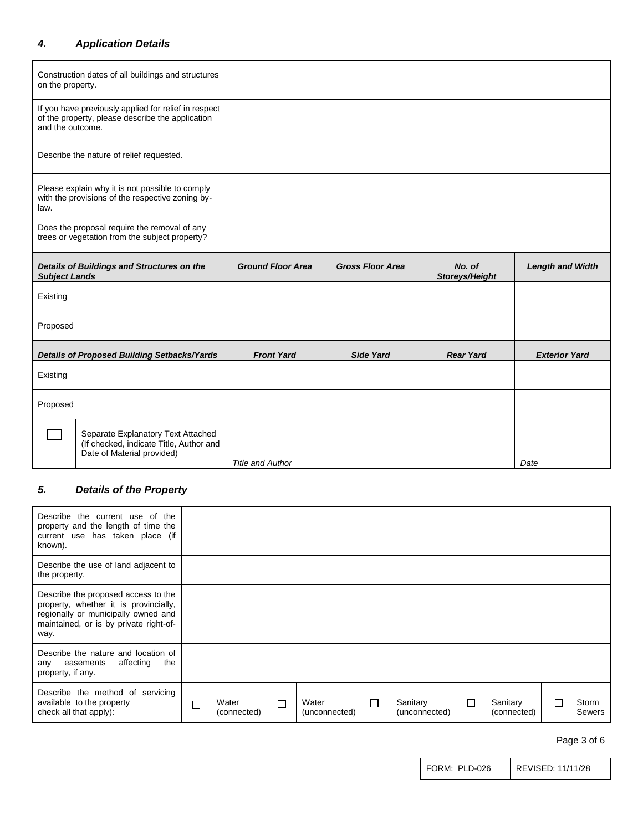# *4. Application Details*

| on the property.                                                                                            | Construction dates of all buildings and structures                                                       |                          |                         |                          |                         |
|-------------------------------------------------------------------------------------------------------------|----------------------------------------------------------------------------------------------------------|--------------------------|-------------------------|--------------------------|-------------------------|
| and the outcome.                                                                                            | If you have previously applied for relief in respect<br>of the property, please describe the application |                          |                         |                          |                         |
|                                                                                                             | Describe the nature of relief requested.                                                                 |                          |                         |                          |                         |
| law.                                                                                                        | Please explain why it is not possible to comply<br>with the provisions of the respective zoning by-      |                          |                         |                          |                         |
|                                                                                                             | Does the proposal require the removal of any<br>trees or vegetation from the subject property?           |                          |                         |                          |                         |
| Details of Buildings and Structures on the<br><b>Subject Lands</b>                                          |                                                                                                          | <b>Ground Floor Area</b> | <b>Gross Floor Area</b> | No. of<br>Storeys/Height | <b>Length and Width</b> |
| Existing                                                                                                    |                                                                                                          |                          |                         |                          |                         |
| Proposed                                                                                                    |                                                                                                          |                          |                         |                          |                         |
| Details of Proposed Building Setbacks/Yards                                                                 |                                                                                                          | <b>Front Yard</b>        | <b>Side Yard</b>        | <b>Rear Yard</b>         | <b>Exterior Yard</b>    |
| Existing                                                                                                    |                                                                                                          |                          |                         |                          |                         |
| Proposed                                                                                                    |                                                                                                          |                          |                         |                          |                         |
| Separate Explanatory Text Attached<br>(If checked, indicate Title, Author and<br>Date of Material provided) |                                                                                                          | <b>Title and Author</b>  |                         |                          | Date                    |

# *5. Details of the Property*

| Describe the current use of the<br>property and the length of time the<br>current use has taken place (if<br>known).                                                  |   |                      |   |                        |   |                           |        |                         |   |                        |
|-----------------------------------------------------------------------------------------------------------------------------------------------------------------------|---|----------------------|---|------------------------|---|---------------------------|--------|-------------------------|---|------------------------|
| Describe the use of land adjacent to<br>the property.                                                                                                                 |   |                      |   |                        |   |                           |        |                         |   |                        |
| Describe the proposed access to the<br>property, whether it is provincially,<br>regionally or municipally owned and<br>maintained, or is by private right-of-<br>way. |   |                      |   |                        |   |                           |        |                         |   |                        |
| Describe the nature and location of<br>affecting<br>the<br>any easements<br>property, if any.                                                                         |   |                      |   |                        |   |                           |        |                         |   |                        |
| Describe the method of servicing<br>available to the property<br>check all that apply):                                                                               | П | Water<br>(connected) | П | Water<br>(unconnected) | П | Sanitary<br>(unconnected) | $\Box$ | Sanitary<br>(connected) | L | Storm<br><b>Sewers</b> |

Page 3 of 6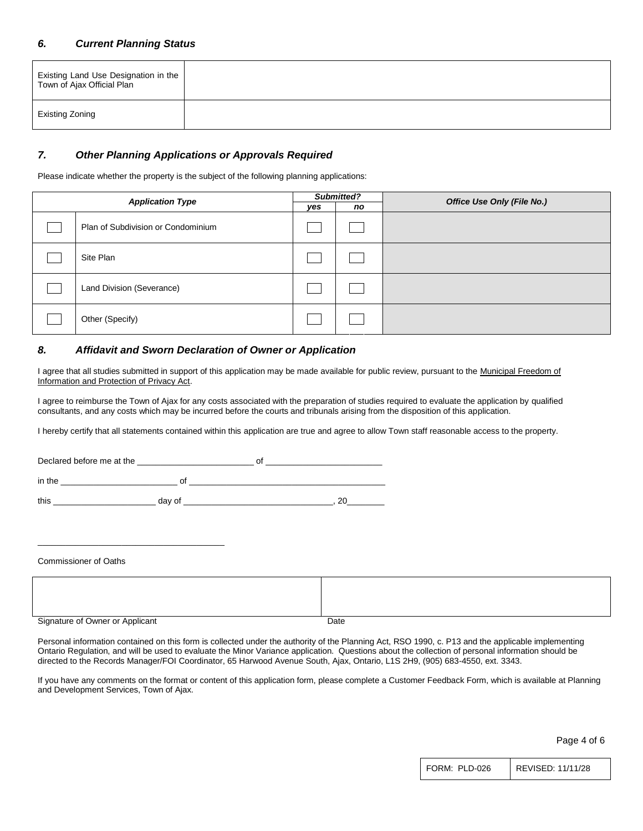#### *6. Current Planning Status*

| Existing Land Use Designation in the  <br>Town of Ajax Official Plan |  |
|----------------------------------------------------------------------|--|
| Existing Zoning                                                      |  |

#### *7. Other Planning Applications or Approvals Required*

Please indicate whether the property is the subject of the following planning applications:

| <b>Application Type</b> |                                    | Submitted? |    | Office Use Only (File No.) |  |
|-------------------------|------------------------------------|------------|----|----------------------------|--|
|                         |                                    | yes        | no |                            |  |
|                         | Plan of Subdivision or Condominium |            |    |                            |  |
|                         | Site Plan                          |            |    |                            |  |
|                         | Land Division (Severance)          |            |    |                            |  |
|                         | Other (Specify)                    |            |    |                            |  |

#### *8. Affidavit and Sworn Declaration of Owner or Application*

I agree that all studies submitted in support of this application may be made available for public review, pursuant to the Municipal Freedom of Information and Protection of Privacy Act.

I agree to reimburse the Town of Ajax for any costs associated with the preparation of studies required to evaluate the application by qualified consultants, and any costs which may be incurred before the courts and tribunals arising from the disposition of this application.

I hereby certify that all statements contained within this application are true and agree to allow Town staff reasonable access to the property.

Declared before me at the \_\_\_\_\_\_\_\_\_\_\_\_\_\_\_\_\_\_\_\_\_\_\_\_\_ of \_\_\_\_\_\_\_\_\_\_\_\_\_\_\_\_\_\_\_\_\_\_\_\_\_  $\quad \text{in the } \underline{\hspace{1cm}}$ this \_\_\_\_\_\_\_\_\_\_\_\_\_\_\_\_\_\_\_\_\_\_ day of \_\_\_\_\_\_\_\_\_\_\_\_\_\_\_\_\_\_\_\_\_\_\_\_\_\_\_\_\_\_\_\_, 20\_\_\_\_\_\_\_\_

Commissioner of Oaths

\_\_\_\_\_\_\_\_\_\_\_\_\_\_\_\_\_\_\_\_\_\_\_\_\_\_\_\_\_\_\_\_\_\_\_\_\_\_\_\_

| Signature of Owner or Applicant | Date |
|---------------------------------|------|

Personal information contained on this form is collected under the authority of the Planning Act, RSO 1990, c. P13 and the applicable implementing Ontario Regulation, and will be used to evaluate the Minor Variance application. Questions about the collection of personal information should be directed to the Records Manager/FOI Coordinator, 65 Harwood Avenue South, Ajax, Ontario, L1S 2H9, (905) 683-4550, ext. 3343.

If you have any comments on the format or content of this application form, please complete a Customer Feedback Form, which is available at Planning and Development Services, Town of Ajax.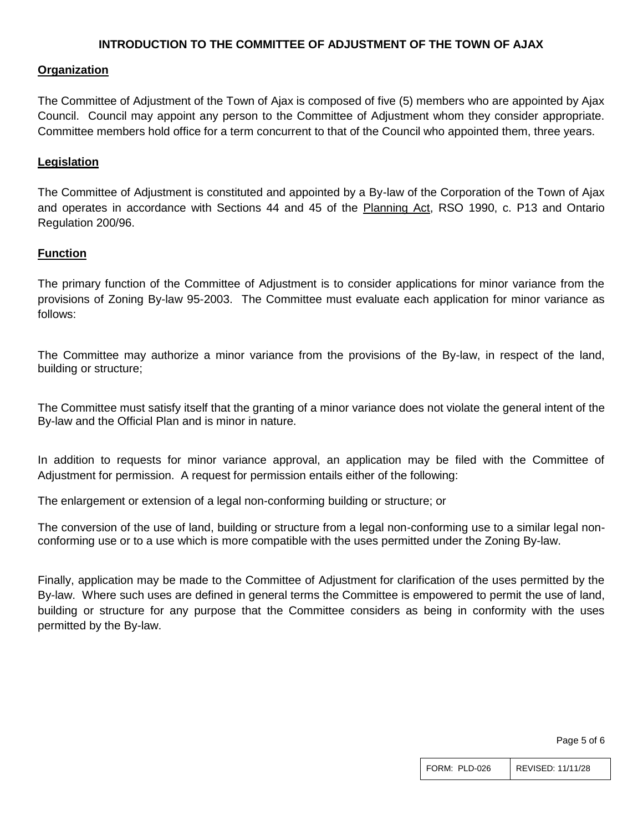# **INTRODUCTION TO THE COMMITTEE OF ADJUSTMENT OF THE TOWN OF AJAX**

### **Organization**

The Committee of Adjustment of the Town of Ajax is composed of five (5) members who are appointed by Ajax Council. Council may appoint any person to the Committee of Adjustment whom they consider appropriate. Committee members hold office for a term concurrent to that of the Council who appointed them, three years.

### **Legislation**

The Committee of Adjustment is constituted and appointed by a By-law of the Corporation of the Town of Ajax and operates in accordance with Sections 44 and 45 of the Planning Act, RSO 1990, c. P13 and Ontario Regulation 200/96.

## **Function**

The primary function of the Committee of Adjustment is to consider applications for minor variance from the provisions of Zoning By-law 95-2003. The Committee must evaluate each application for minor variance as follows:

The Committee may authorize a minor variance from the provisions of the By-law, in respect of the land, building or structure;

The Committee must satisfy itself that the granting of a minor variance does not violate the general intent of the By-law and the Official Plan and is minor in nature.

In addition to requests for minor variance approval, an application may be filed with the Committee of Adjustment for permission. A request for permission entails either of the following:

The enlargement or extension of a legal non-conforming building or structure; or

The conversion of the use of land, building or structure from a legal non-conforming use to a similar legal nonconforming use or to a use which is more compatible with the uses permitted under the Zoning By-law.

Finally, application may be made to the Committee of Adjustment for clarification of the uses permitted by the By-law. Where such uses are defined in general terms the Committee is empowered to permit the use of land, building or structure for any purpose that the Committee considers as being in conformity with the uses permitted by the By-law.